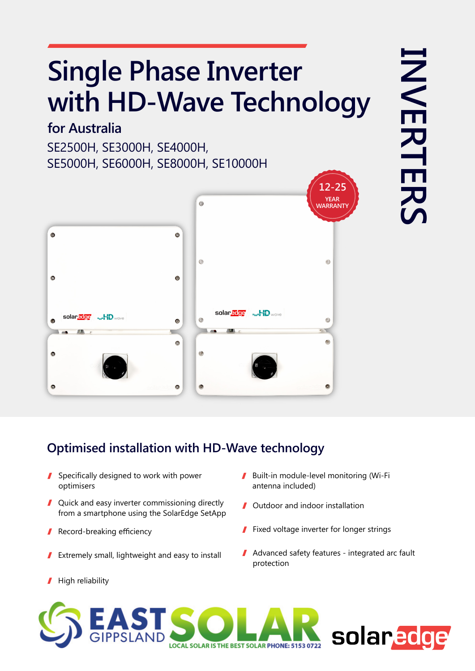# **Single Phase Inverter** with HD-Wave Technology

#### **for Australia**

SE2500H, SE3000H, SE4000H, SE5000H, SE6000H, SE8000H, SE10000H



### **Optimised installation with HD-Wave technology**

- $\blacksquare$  Specifically designed to work with power optimisers
- $\blacksquare$  Quick and easy inverter commissioning directly from a smartphone using the SolarEdge SetApp
- Record-breaking efficiency 1
- Extremely small, lightweight and easy to install I
- High reliability I
- Built-in module-level monitoring (Wi-Fi antenna included)
- **J** Outdoor and indoor installation
- $\blacksquare$  Fixed voltage inverter for longer strings
- $\blacksquare$  Advanced safety features integrated arc fault protection